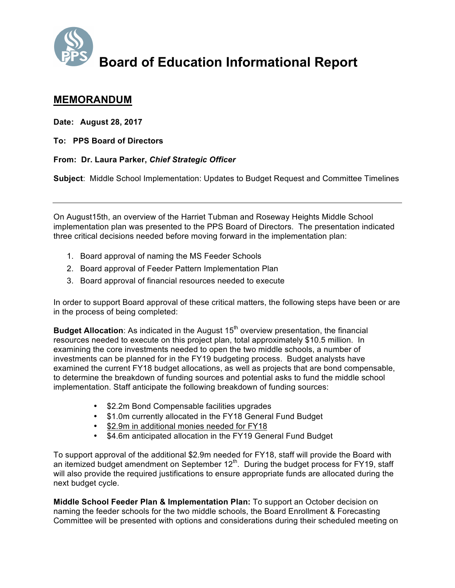

## **Board of Education Informational Report**

## **MEMORANDUM**

**Date: August 28, 2017**

**To: PPS Board of Directors**

## **From: Dr. Laura Parker,** *Chief Strategic Officer*

**Subject**: Middle School Implementation: Updates to Budget Request and Committee Timelines

On August15th, an overview of the Harriet Tubman and Roseway Heights Middle School implementation plan was presented to the PPS Board of Directors. The presentation indicated three critical decisions needed before moving forward in the implementation plan:

- 1. Board approval of naming the MS Feeder Schools
- 2. Board approval of Feeder Pattern Implementation Plan
- 3. Board approval of financial resources needed to execute

In order to support Board approval of these critical matters, the following steps have been or are in the process of being completed:

**Budget Allocation:** As indicated in the August 15<sup>th</sup> overview presentation, the financial resources needed to execute on this project plan, total approximately \$10.5 million. In examining the core investments needed to open the two middle schools, a number of investments can be planned for in the FY19 budgeting process. Budget analysts have examined the current FY18 budget allocations, as well as projects that are bond compensable, to determine the breakdown of funding sources and potential asks to fund the middle school implementation. Staff anticipate the following breakdown of funding sources:

- \$2.2m Bond Compensable facilities upgrades
- \$1.0m currently allocated in the FY18 General Fund Budget
- \$2.9m in additional monies needed for FY18
- \$4.6m anticipated allocation in the FY19 General Fund Budget

To support approval of the additional \$2.9m needed for FY18, staff will provide the Board with an itemized budget amendment on September  $12<sup>th</sup>$ . During the budget process for FY19, staff will also provide the required justifications to ensure appropriate funds are allocated during the next budget cycle.

**Middle School Feeder Plan & Implementation Plan:** To support an October decision on naming the feeder schools for the two middle schools, the Board Enrollment & Forecasting Committee will be presented with options and considerations during their scheduled meeting on